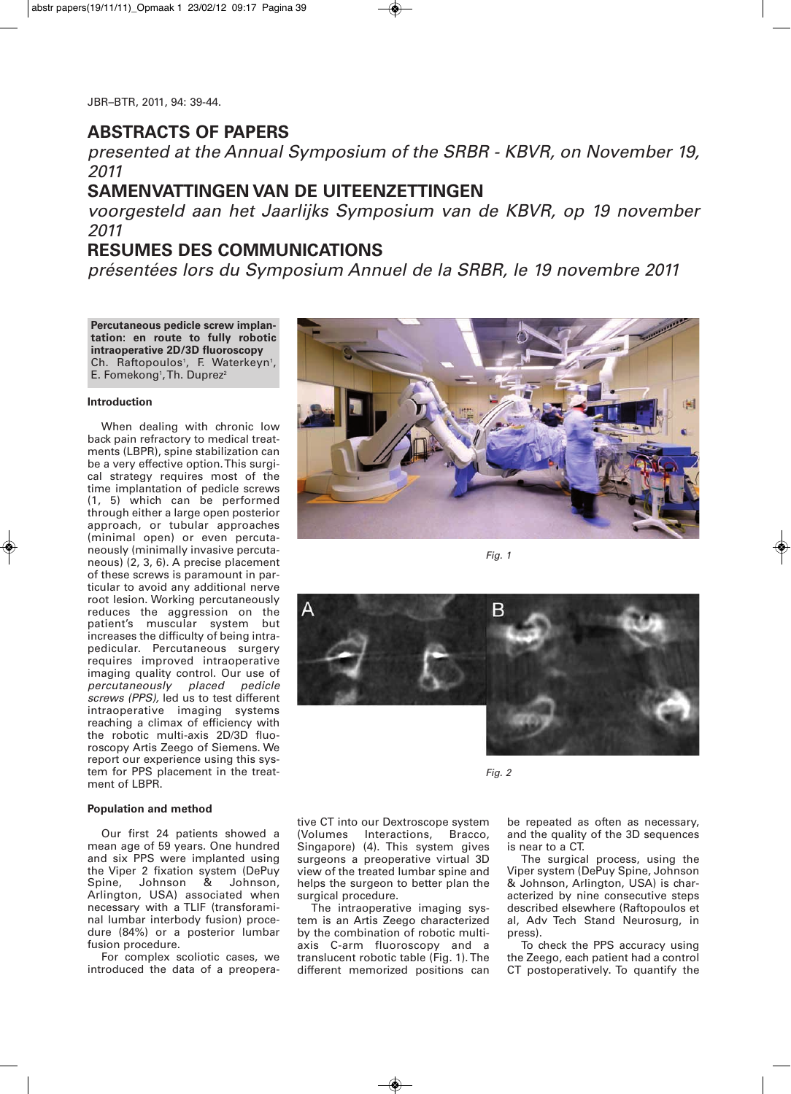JBR–BTR, 2011, 94: 39-44.

# **ABSTRACTS OF PAPERS**

*presented at the Annual Symposium of the SRBR - KBVR, on November 19, 2011*

# **SAMENVATTINGEN VAN DE UITEENZETTINGEN**

*voorgesteld aan het Jaarlijks Symposium van de KBVR, op 19 november 2011*

# **RESUMES DES COMMUNICATIONS**

*présentées lors du Symposium Annuel de la SRBR, le 19 novembre 2011*

**Percutaneous pedicle screw implantation: en route to fully robotic intraoperative 2D/3D fluoroscopy** Ch. Raftopoulos<sup>,</sup>, F. Waterkeyn<sup>,</sup>, E. Fomekong', Th. Duprez<sup>2</sup>

## **Introduction**

When dealing with chronic low back pain refractory to medical treatments (LBPR), spine stabilization can be a very effective option. This surgical strategy requires most of the time implantation of pedicle screws (1, 5) which can be performed through either a large open posterior approach, or tubular approaches (minimal open) or even percutaneously (minimally invasive percutaneous) (2, 3, 6). A precise placement of these screws is paramount in particular to avoid any additional nerve root lesion. Working percutaneously reduces the aggression on the patient's muscular system but increases the difficulty of being intrapedicular. Percutaneous surgery requires improved intraoperative imaging quality control. Our use of<br>percutaneously placed pedicle  $percutaneously$ *screws (PPS),* led us to test different intraoperative imaging systems reaching a climax of efficiency with the robotic multi-axis 2D/3D fluoroscopy Artis Zeego of Siemens. We report our experience using this system for PPS placement in the treatment of LBPR.

## **Population and method**

Our first 24 patients showed a mean age of 59 years. One hundred and six PPS were implanted using the Viper 2 fixation system (DePuy Spine, Johnson & Johnson, Arlington, USA) associated when necessary with a TLIF (transforaminal lumbar interbody fusion) procedure (84%) or a posterior lumbar fusion procedure.

For complex scoliotic cases, we introduced the data of a preopera-



*Fig. 1*



*Fig. 2*

tive CT into our Dextroscope system<br>(Volumes Interactions, Bracco, (Volumes Interactions, Singapore) (4). This system gives surgeons a preoperative virtual 3D view of the treated lumbar spine and helps the surgeon to better plan the surgical procedure.

The intraoperative imaging system is an Artis Zeego characterized by the combination of robotic multiaxis C-arm fluoroscopy and a translucent robotic table (Fig. 1). The different memorized positions can be repeated as often as necessary, and the quality of the 3D sequences is near to a CT.

The surgical process, using the Viper system (DePuy Spine, Johnson & Johnson, Arlington, USA) is characterized by nine consecutive steps described elsewhere (Raftopoulos et al, Adv Tech Stand Neurosurg, in press).

To check the PPS accuracy using the Zeego, each patient had a control CT postoperatively. To quantify the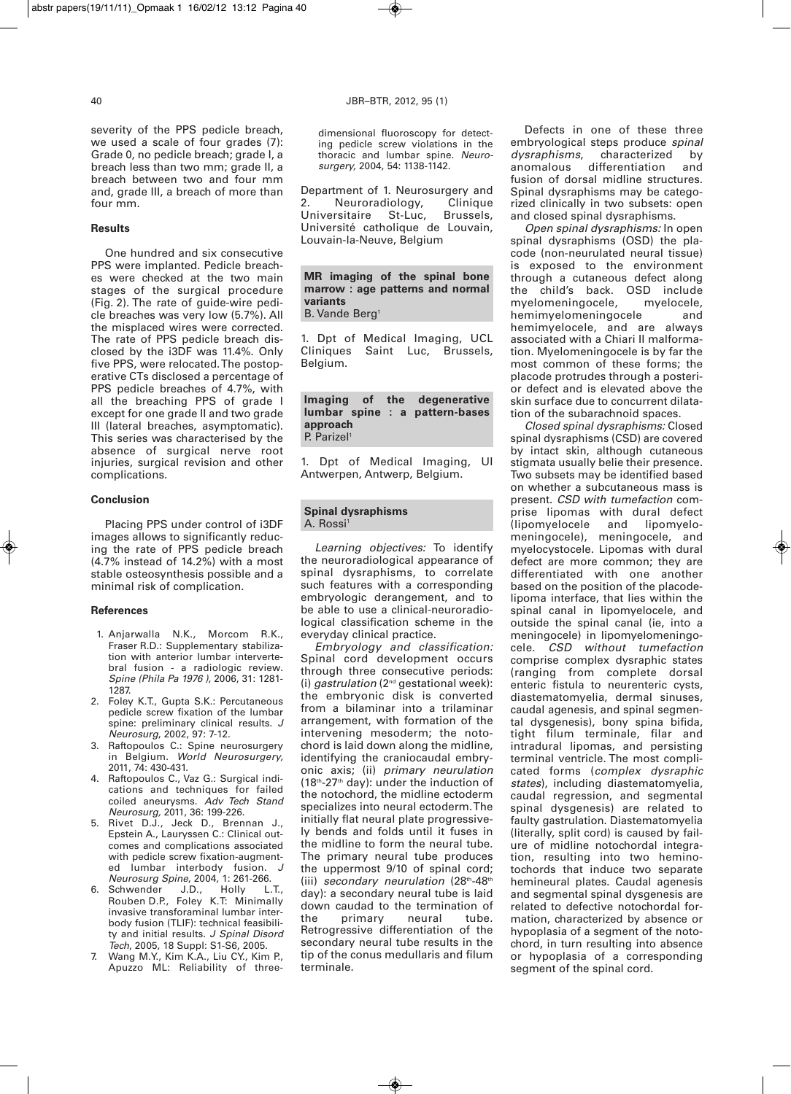severity of the PPS pedicle breach, we used a scale of four grades (7): Grade 0, no pedicle breach; grade I, a breach less than two mm; grade II, a breach between two and four mm and, grade III, a breach of more than four mm.

### **Results**

One hundred and six consecutive PPS were implanted. Pedicle breaches were checked at the two main stages of the surgical procedure (Fig. 2). The rate of guide-wire pedicle breaches was very low (5.7%). All the misplaced wires were corrected. The rate of PPS pedicle breach disclosed by the i3DF was 11.4%. Only five PPS, were relocated.The postoperative CTs disclosed a percentage of PPS pedicle breaches of 4.7%, with all the breaching PPS of grade I except for one grade II and two grade III (lateral breaches, asymptomatic). This series was characterised by the absence of surgical nerve root injuries, surgical revision and other complications.

### **Conclusion**

Placing PPS under control of i3DF images allows to significantly reducing the rate of PPS pedicle breach (4.7% instead of 14.2%) with a most stable osteosynthesis possible and a minimal risk of complication.

#### **References**

- 1. Anjarwalla N.K., Morcom R.K., Fraser R.D.: Supplementary stabilization with anterior lumbar intervertebral fusion - a radiologic review. *Spine (Phila Pa 1976 )*, 2006, 31: 1281- 1287.
- 2. Foley K.T., Gupta S.K.: Percutaneous pedicle screw fixation of the lumbar spine: preliminary clinical results. *J Neurosurg*, 2002, 97: 7-12.
- 3. Raftopoulos C.: Spine neurosurgery in Belgium. *World Neurosurgery,* 2011, 74: 430-431.
- 4. Raftopoulos C., Vaz G.: Surgical indications and techniques for failed coiled aneurysms. *Adv Tech Stand Neurosurg,* 2011, 36: 199-226.
- Rivet D.J., Jeck D., Brennan J., Epstein A., Lauryssen C.: Clinical outcomes and complications associated with pedicle screw fixation-augmented lumbar interbody fusion. *J*
- *Neurosurg Spine*, 2004, 1: 261-266. 6. Schwender Rouben D.P., Foley K.T: Minimally invasive transforaminal lumbar interbody fusion (TLIF): technical feasibility and initial results. *J Spinal Disord Tech*, 2005, 18 Suppl: S1-S6, 2005.
- 7. Wang M.Y., Kim K.A., Liu CY., Kim P., Apuzzo ML: Reliability of three-

dimensional fluoroscopy for detecting pedicle screw violations in the thoracic and lumbar spine. *Neurosurgery,* 2004, 54: 1138-1142.

Department of 1. Neurosurgery and 2. Neuroradiology, Clinique<br>Universitaire St-Luc, Brussels, Universitaire Université catholique de Louvain, Louvain-la-Neuve, Belgium

**MR imaging of the spinal bone marrow : age patterns and normal variants** B. Vande Berg<sup>1</sup>

1. Dpt of Medical Imaging, UCL Cliniques Saint Luc, Brussels, Belgium.

### **Imaging of the degenerative lumbar spine : a pattern-bases approach** P. Parizel<sup>1</sup>

1. Dpt of Medical Imaging, UI Antwerpen, Antwerp, Belgium.

### **Spinal dysraphisms** A. Rossi 1

*Learning objectives:* To identify the neuroradiological appearance of spinal dysraphisms, to correlate such features with a corresponding embryologic derangement, and to be able to use a clinical-neuroradiological classification scheme in the everyday clinical practice.

*Embryology and classification:* Spinal cord development occurs through three consecutive periods: (i) *gastrulation* (2nd gestational week): the embryonic disk is converted from a bilaminar into a trilaminar arrangement, with formation of the intervening mesoderm; the notochord is laid down along the midline, identifying the craniocaudal embryonic axis; (ii) *primary neurulation* (18th -27th day): under the induction of the notochord, the midline ectoderm specializes into neural ectoderm.The initially flat neural plate progressively bends and folds until it fuses in the midline to form the neural tube. The primary neural tube produces the uppermost 9/10 of spinal cord; (iii) *secondary neurulation* (28th -48th day): a secondary neural tube is laid down caudad to the termination of the primary neural tube. Retrogressive differentiation of the secondary neural tube results in the tip of the conus medullaris and filum terminale.

Defects in one of these three embryological steps produce *spinal* **characterized** by<br>*ifferentiation* and anomalous differentiation fusion of dorsal midline structures. Spinal dysraphisms may be categorized clinically in two subsets: open and closed spinal dysraphisms.

*Open spinal dysraphisms:* In open spinal dysraphisms (OSD) the placode (non-neurulated neural tissue) is exposed to the environment through a cutaneous defect along the child's back. OSD include<br>myelomeningocele, myelocele, myelomeningocele, myelocele, hemimyelomeningocele hemimyelocele, and are always associated with a Chiari II malformation. Myelomeningocele is by far the most common of these forms; the placode protrudes through a posterior defect and is elevated above the skin surface due to concurrent dilatation of the subarachnoid spaces.

*Closed spinal dysraphisms:* Closed spinal dysraphisms (CSD) are covered by intact skin, although cutaneous stigmata usually belie their presence. Two subsets may be identified based on whether a subcutaneous mass is present. *CSD with tumefaction* comprise lipomas with dural defect (lipomyelocele and lipomyelomeningocele), meningocele, and myelocystocele. Lipomas with dural defect are more common; they are differentiated with one another based on the position of the placodelipoma interface, that lies within the spinal canal in lipomyelocele, and outside the spinal canal (ie, into a meningocele) in lipomyelomeningocele. *CSD without tumefaction* comprise complex dysraphic states (ranging from complete dorsal enteric fistula to neurenteric cysts, diastematomyelia, dermal sinuses, caudal agenesis, and spinal segmental dysgenesis), bony spina bifida, tight filum terminale, filar and intradural lipomas, and persisting terminal ventricle. The most complicated forms (*complex dysraphic states*), including diastematomyelia, caudal regression, and segmental spinal dysgenesis) are related to faulty gastrulation. Diastematomyelia (literally, split cord) is caused by failure of midline notochordal integration, resulting into two heminotochords that induce two separate hemineural plates. Caudal agenesis and segmental spinal dysgenesis are related to defective notochordal formation, characterized by absence or hypoplasia of a segment of the notochord, in turn resulting into absence or hypoplasia of a corresponding segment of the spinal cord.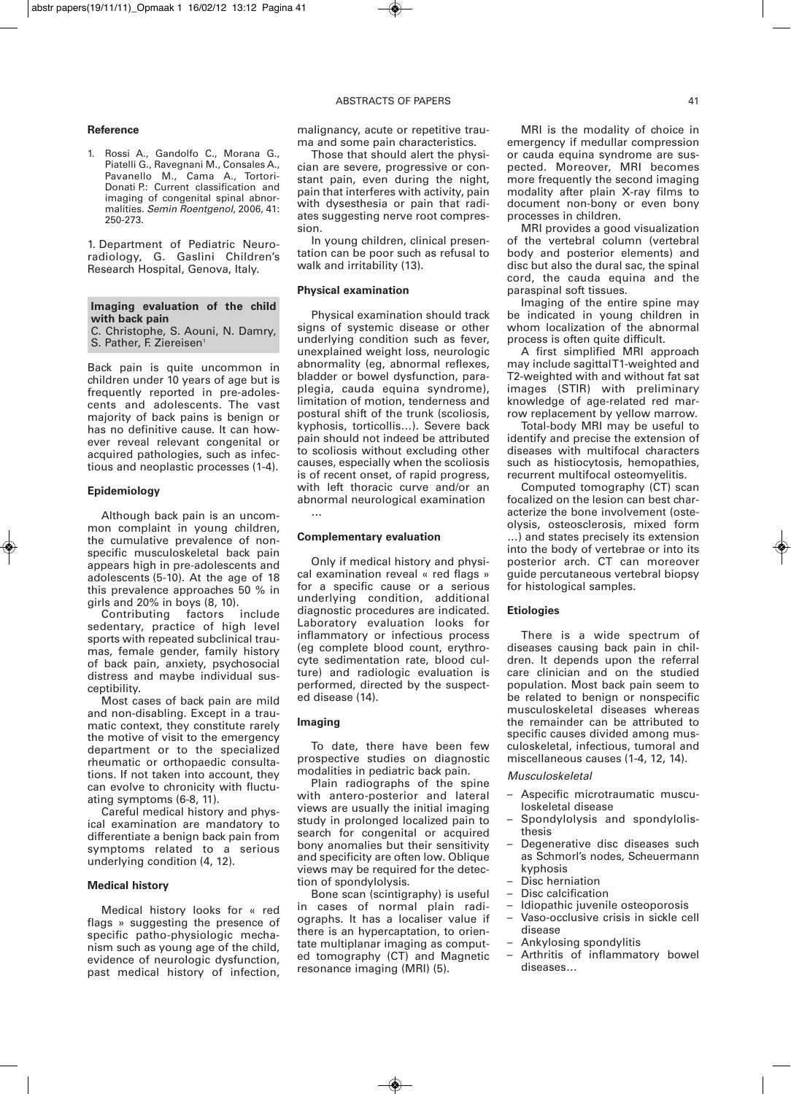### ABSTRACTS OF PAPERS 41

### **Reference**

1. Rossi A., Gandolfo C., Morana G., Piatelli G., Ravegnani M., Consales A., Pavanello M., Cama A., Tortori-Donati P.: Current classification and imaging of congenital spinal abnormalities. *Semin Roentgenol*, 2006, 41: 250-273.

1. Department of Pediatric Neuroradiology, G. Gaslini Children's Research Hospital, Genova, Italy.

### **Imaging evaluation of the child with back pain**

C. Christophe, S. Aouni, N. Damry, S. Pather, F. Ziereisen<sup>1</sup>

Back pain is quite uncommon in children under 10 years of age but is frequently reported in pre-adolescents and adolescents. The vast majority of back pains is benign or has no definitive cause. It can however reveal relevant congenital or acquired pathologies, such as infectious and neoplastic processes (1-4).

### **Epidemiology**

Although back pain is an uncommon complaint in young children, the cumulative prevalence of nonspecific musculoskeletal back pain appears high in pre-adolescents and adolescents (5-10). At the age of 18 this prevalence approaches 50 % in girls and 20% in boys (8, 10).

Contributing factors include sedentary, practice of high level sports with repeated subclinical traumas, female gender, family history of back pain, anxiety, psychosocial distress and maybe individual susceptibility.

Most cases of back pain are mild and non-disabling. Except in a traumatic context, they constitute rarely the motive of visit to the emergency department or to the specialized rheumatic or orthopaedic consultations. If not taken into account, they can evolve to chronicity with fluctuating symptoms (6-8, 11).

Careful medical history and physical examination are mandatory to differentiate a benign back pain from symptoms related to a serious underlying condition (4, 12).

### **Medical history**

Medical history looks for « red flags » suggesting the presence of specific patho-physiologic mechanism such as young age of the child, evidence of neurologic dysfunction, past medical history of infection, malignancy, acute or repetitive trauma and some pain characteristics.

Those that should alert the physician are severe, progressive or constant pain, even during the night, pain that interferes with activity, pain with dysesthesia or pain that radiates suggesting nerve root compression.

In young children, clinical presentation can be poor such as refusal to walk and irritability (13).

### **Physical examination**

Physical examination should track signs of systemic disease or other underlying condition such as fever, unexplained weight loss, neurologic abnormality (eg, abnormal reflexes, bladder or bowel dysfunction, paraplegia, cauda equina syndrome), limitation of motion, tenderness and postural shift of the trunk (scoliosis, kyphosis, torticollis…). Severe back pain should not indeed be attributed to scoliosis without excluding other causes, especially when the scoliosis is of recent onset, of rapid progress, with left thoracic curve and/or an abnormal neurological examination …

#### **Complementary evaluation**

Only if medical history and physical examination reveal « red flags » for a specific cause or a serious underlying condition, additional diagnostic procedures are indicated. Laboratory evaluation looks for inflammatory or infectious process (eg complete blood count, erythrocyte sedimentation rate, blood culture) and radiologic evaluation is performed, directed by the suspected disease (14).

#### **Imaging**

To date, there have been few prospective studies on diagnostic modalities in pediatric back pain.

Plain radiographs of the spine with antero-posterior and lateral views are usually the initial imaging study in prolonged localized pain to search for congenital or acquired bony anomalies but their sensitivity and specificity are often low. Oblique views may be required for the detection of spondylolysis.

Bone scan (scintigraphy) is useful in cases of normal plain radiographs. It has a localiser value if there is an hypercaptation, to orientate multiplanar imaging as computed tomography (CT) and Magnetic resonance imaging (MRI) (5).

MRI is the modality of choice in emergency if medullar compression or cauda equina syndrome are suspected. Moreover, MRI becomes more frequently the second imaging modality after plain X-ray films to document non-bony or even bony processes in children.

MRI provides a good visualization of the vertebral column (vertebral body and posterior elements) and disc but also the dural sac, the spinal cord, the cauda equina and the paraspinal soft tissues.

Imaging of the entire spine may be indicated in young children in whom localization of the abnormal process is often quite difficult.

A first simplified MRI approach may include sagittalT1-weighted and T2-weighted with and without fat sat images (STIR) with preliminary knowledge of age-related red marrow replacement by yellow marrow.

Total-body MRI may be useful to identify and precise the extension of diseases with multifocal characters such as histiocytosis, hemopathies, recurrent multifocal osteomyelitis.

Computed tomography (CT) scan focalized on the lesion can best characterize the bone involvement (osteolysis, osteosclerosis, mixed form …) and states precisely its extension into the body of vertebrae or into its posterior arch. CT can moreover guide percutaneous vertebral biopsy for histological samples.

#### **Etiologies**

There is a wide spectrum of diseases causing back pain in children. It depends upon the referral care clinician and on the studied population. Most back pain seem to be related to benign or nonspecific musculoskeletal diseases whereas the remainder can be attributed to specific causes divided among musculoskeletal, infectious, tumoral and miscellaneous causes (1-4, 12, 14).

#### *Musculoskeletal*

- Aspecific microtraumatic musculoskeletal disease
- Spondylolysis and spondylolisthesis
- Degenerative disc diseases such as Schmorl's nodes, Scheuermann kyphosis
- Disc herniation
- Disc calcification
- Idiopathic juvenile osteoporosis
- Vaso-occlusive crisis in sickle cell disease
- Ankylosing spondylitis
- Arthritis of inflammatory bowel diseases…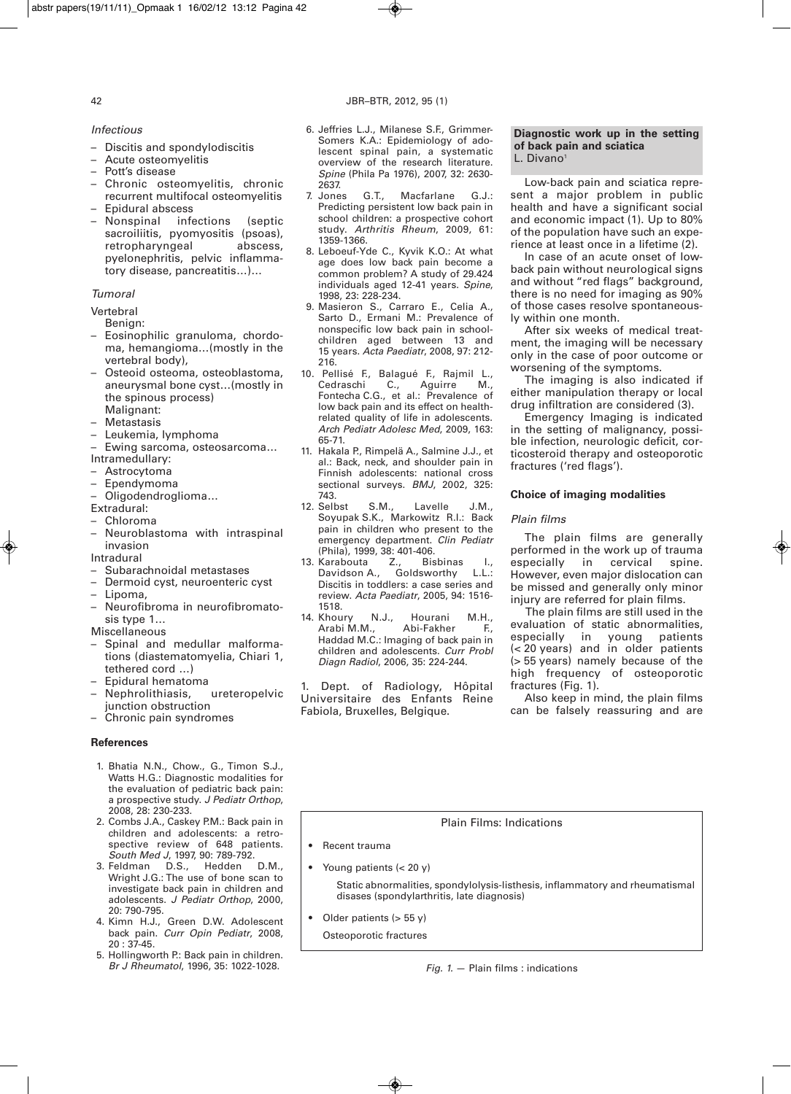### *Infectious*

- Discitis and spondylodiscitis
- Acute osteomyelitis
- Pott's disease
- Chronic osteomyelitis, chronic recurrent multifocal osteomyelitis
- 
- Epidural abscess<br>– Nonspinal infections – Nonspinal infections (septic sacroiliitis, pyomyositis (psoas),<br>retropharyngeal abscess. retropharyngeal pyelonephritis, pelvic inflammatory disease, pancreatitis…)…

#### *Tumoral*

Vertebral

Benign:

- Eosinophilic granuloma, chordoma, hemangioma…(mostly in the vertebral body),
- Osteoid osteoma, osteoblastoma, aneurysmal bone cyst…(mostly in the spinous process) Malignant:
- **Metastasis**
- Leukemia, lymphoma
- Ewing sarcoma, osteosarcoma…
- Intramedullary:
- Astrocytoma
- Ependymoma
- Oligodendroglioma…
- Extradural:
- Chloroma
- Neuroblastoma with intraspinal invasion

Intradural

- Subarachnoidal metastases
- Dermoid cyst, neuroenteric cyst
- Lipoma,
- Neurofibroma in neurofibromatosis type 1…
- Miscellaneous
- Spinal and medullar malformations (diastematomyelia, Chiari 1, tethered cord …)
- Epidural hematoma
- Nephrolithiasis, ureteropelvic junction obstruction
- Chronic pain syndromes

#### **References**

- 1. Bhatia N.N., Chow., G., Timon S.J., Watts H.G.: Diagnostic modalities for the evaluation of pediatric back pain: a prospective study. *J Pediatr Orthop*, 2008, 28: 230-233.
- 2. Combs J.A., Caskey P.M.: Back pain in children and adolescents: a retrospective review of 648 patients. *South Med J*, 1997, 90: 789-792.
- 3. Feldman D.S., Hedden D.M., Wright J.G.: The use of bone scan to investigate back pain in children and adolescents. *J Pediatr Orthop*, 2000, 20: 790-795.
- 4. Kimn H.J., Green D.W. Adolescent back pain. *Curr Opin Pediatr*, 2008, 20 : 37-45.
- 5. Hollingworth P.: Back pain in children. *Br J Rheumatol*, 1996, 35: 1022-1028. *Fig. 1.* — Plain films : indications
- 6. Jeffries L.J., Milanese S.F., Grimmer-Somers K.A.: Epidemiology of adolescent spinal pain, a systematic overview of the research literature. *Spine* (Phila Pa 1976), 2007, 32: 2630- 2637.<br>7. Jones
- G.T., Macfarlane G.J.: Predicting persistent low back pain in school children: a prospective cohort study. *Arthritis Rheum*, 2009, 61: 1359-1366.
- 8. Leboeuf-Yde C., Kyvik K.O.: At what age does low back pain become a common problem? A study of 29.424 individuals aged 12-41 years. *Spine*, 1998, 23: 228-234.
- 9. Masieron S., Carraro E., Celia A. Sarto D., Ermani M.: Prevalence of nonspecific low back pain in schoolchildren aged between 13 and 15 years. *Acta Paediatr*, 2008, 97: 212- 216.
- 10. Pellisé F., Balagué F., Rajmil L.,<br>Cedraschi C., Aguirre M., Cedraschi C., Aguirre M., Fontecha C.G., et al.: Prevalence of low back pain and its effect on healthrelated quality of life in adolescents. *Arch Pediatr Adolesc Med*, 2009, 163: 65-71.
- 11. Hakala P., Rimpelä A., Salmine J.J., et al.: Back, neck, and shoulder pain in Finnish adolescents: national cross sectional surveys. *BMJ*, 2002, 325: 743.<br>12 Selbst
- 12. Selbst S.M., Lavelle J.M., Soyupak S.K., Markowitz R.I.: Back pain in children who present to the emergency department. *Clin Pediatr* (Phila), 1999, 38: 401-406.
- 13. Karabouta Z., Bisbinas I.,<br>Davidson A Goldsworthy LL: Davidson A., Goldsworthy Discitis in toddlers: a case series and review. *Acta Paediatr*, 2005, 94: 1516- 1518.
- 14. Khoury N.J., Hourani M.H.,<br>Arabi M.M., Abi-Fakher F. Arabi M.M., Abi-Fakher F., Haddad M.C.: Imaging of back pain in children and adolescents. *Curr Probl Diagn Radiol*, 2006, 35: 224-244.

1. Dept. of Radiology, Hôpital Universitaire des Enfants Reine Fabiola, Bruxelles, Belgique.

### **Diagnostic work up in the setting of back pain and sciatica** L. Divano<sup>1</sup>

Low-back pain and sciatica represent a major problem in public health and have a significant social and economic impact (1). Up to 80% of the population have such an experience at least once in a lifetime (2).

In case of an acute onset of lowback pain without neurological signs and without "red flags" background, there is no need for imaging as 90% of those cases resolve spontaneously within one month.

After six weeks of medical treatment, the imaging will be necessary only in the case of poor outcome or worsening of the symptoms.

The imaging is also indicated if either manipulation therapy or local drug infiltration are considered (3).

Emergency Imaging is indicated in the setting of malignancy, possible infection, neurologic deficit, corticosteroid therapy and osteoporotic fractures ('red flags').

### **Choice of imaging modalities**

#### *Plain films*

The plain films are generally performed in the work up of trauma especially in cervical spine. However, even major dislocation can be missed and generally only minor injury are referred for plain films.

The plain films are still used in the evaluation of static abnormalities, especially in young patients (< 20 years) and in older patients (> 55 years) namely because of the high frequency of osteoporotic fractures (Fig. 1).

Also keep in mind, the plain films can be falsely reassuring and are

#### Plain Films: Indications

- Recent trauma
	- Young patients (< 20 y) Static abnormalities, spondylolysis-listhesis, inflammatory and rheumatismal disases (spondylarthritis, late diagnosis)
- Older patients ( $> 55$  y)

Osteoporotic fractures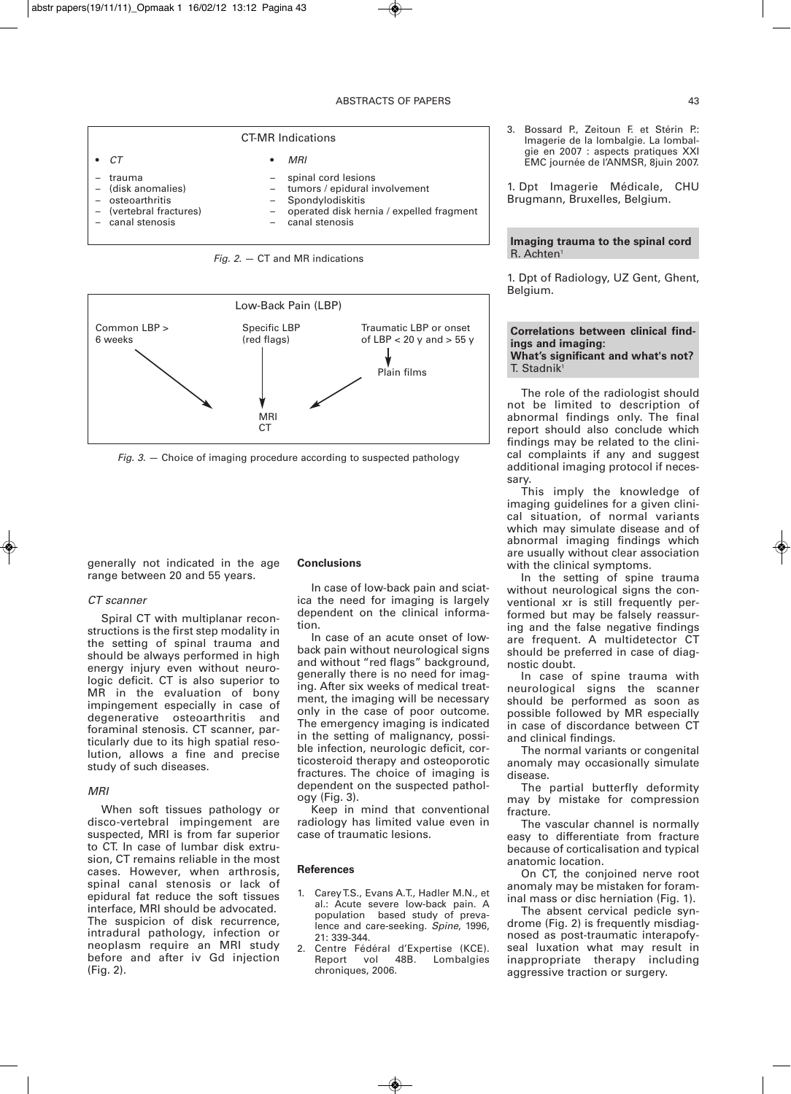

- *CT MRI*
- 
- 
- 
- 
- canal stenosis canal stenosis

- trauma spinal cord lesions
- (disk anomalies) tumors / epidural involvement
- osteoarthritis Spondylodiskitis
	- operated disk hernia / expelled fragment<br>canal stenosis
	- *Fig. 2.* CT and MR indications



*Fig. 3.* — Choice of imaging procedure according to suspected pathology

generally not indicated in the age range between 20 and 55 years.

#### *CT scanner*

Spiral CT with multiplanar reconstructions is the first step modality in the setting of spinal trauma and should be always performed in high energy injury even without neurologic deficit. CT is also superior to MR in the evaluation of bony impingement especially in case of degenerative osteoarthritis and foraminal stenosis. CT scanner, particularly due to its high spatial resolution, allows a fine and precise study of such diseases.

#### *MRI*

When soft tissues pathology or disco-vertebral impingement are suspected, MRI is from far superior to CT. In case of lumbar disk extrusion, CT remains reliable in the most cases. However, when arthrosis, spinal canal stenosis or lack of epidural fat reduce the soft tissues interface, MRI should be advocated. The suspicion of disk recurrence, intradural pathology, infection or neoplasm require an MRI study before and after iv Gd injection (Fig. 2).

### **Conclusions**

In case of low-back pain and sciatica the need for imaging is largely dependent on the clinical information.

In case of an acute onset of lowback pain without neurological signs and without "red flags" background, generally there is no need for imaging. After six weeks of medical treatment, the imaging will be necessary only in the case of poor outcome. The emergency imaging is indicated in the setting of malignancy, possible infection, neurologic deficit, corticosteroid therapy and osteoporotic fractures. The choice of imaging is dependent on the suspected pathology (Fig. 3).

Keep in mind that conventional radiology has limited value even in case of traumatic lesions.

#### **References**

- 1. CareyT.S., Evans A.T., Hadler M.N., et al.: Acute severe low-back pain. A population based study of prevalence and care-seeking. *Spine*, 1996, 21: 339-344.
- 2. Centre Fédéral d'Expertise (KCE). Report vol 48B. Lombalgies chroniques, 2006.

3. Bossard P., Zeitoun F. et Stérin P.: Imagerie de la lombalgie. La lombalgie en 2007 : aspects pratiques XXI EMC journée de l'ANMSR, 8juin 2007.

1. Dpt Imagerie Médicale, CHU Brugmann, Bruxelles, Belgium.

#### **Imaging trauma to the spinal cord** R. Achten<sup>1</sup>

1. Dpt of Radiology, UZ Gent, Ghent, Belgium.

### **Correlations between clinical findings and imaging: What's significant and what's not?** T. Stadnik1

The role of the radiologist should not be limited to description of abnormal findings only. The final report should also conclude which findings may be related to the clinical complaints if any and suggest additional imaging protocol if necessary.

This imply the knowledge of imaging guidelines for a given clinical situation, of normal variants which may simulate disease and of abnormal imaging findings which are usually without clear association with the clinical symptoms.

In the setting of spine trauma without neurological signs the conventional xr is still frequently performed but may be falsely reassuring and the false negative findings are frequent. A multidetector CT should be preferred in case of diagnostic doubt.

In case of spine trauma with neurological signs the scanner should be performed as soon as possible followed by MR especially in case of discordance between CT and clinical findings.

The normal variants or congenital anomaly may occasionally simulate disease.

The partial butterfly deformity may by mistake for compression fracture.

The vascular channel is normally easy to differentiate from fracture because of corticalisation and typical anatomic location.

On CT, the conjoined nerve root anomaly may be mistaken for foraminal mass or disc herniation (Fig. 1).

The absent cervical pedicle syndrome (Fig. 2) is frequently misdiagnosed as post-traumatic interapofyseal luxation what may result in inappropriate therapy including aggressive traction or surgery.